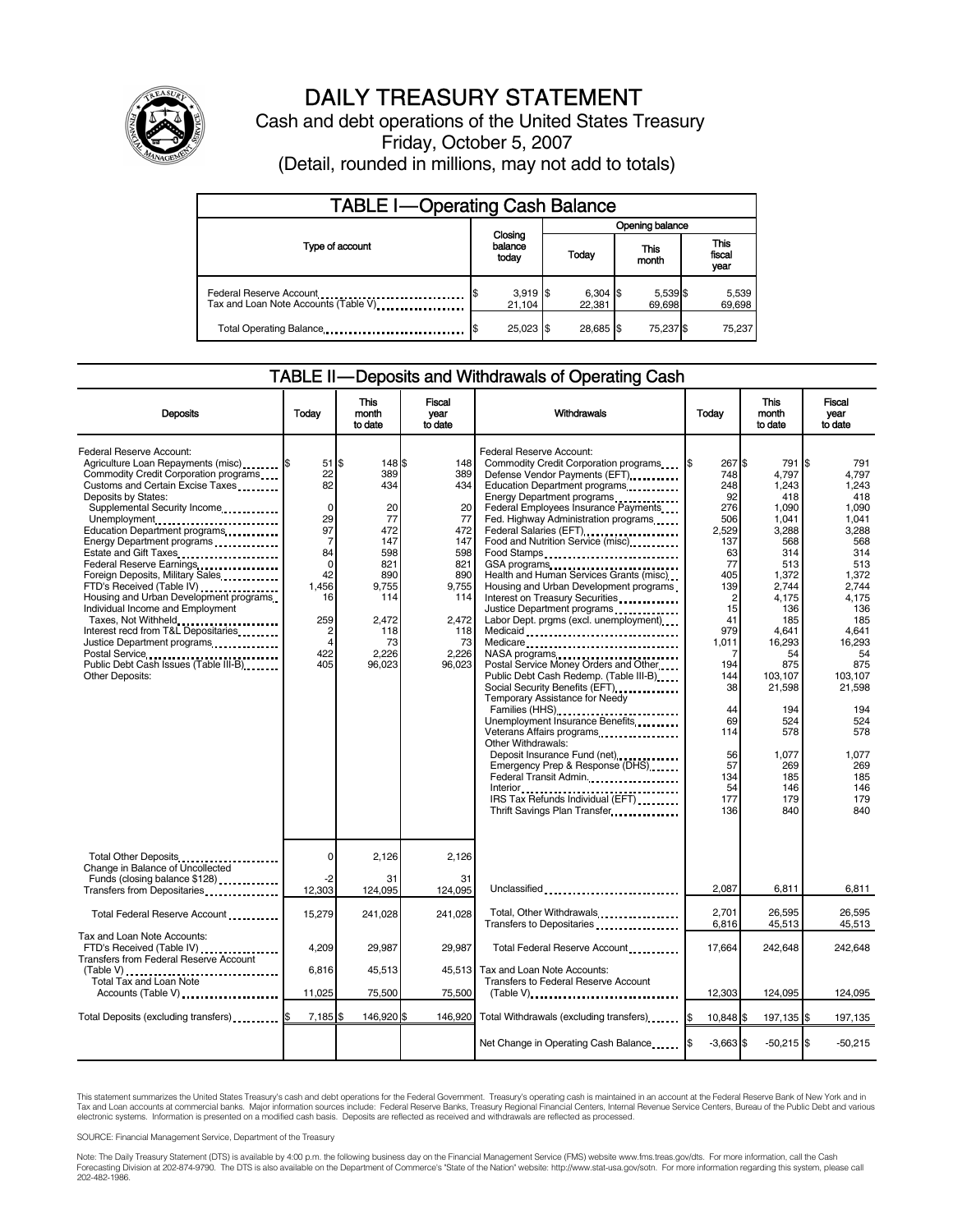

# DAILY TREASURY STATEMENT

Cash and debt operations of the United States Treasury Friday, October 5, 2007 (Detail, rounded in millions, may not add to totals)

| <b>TABLE I-Operating Cash Balance</b>                           |  |                             |                 |                      |  |                    |  |                               |
|-----------------------------------------------------------------|--|-----------------------------|-----------------|----------------------|--|--------------------|--|-------------------------------|
|                                                                 |  |                             | Opening balance |                      |  |                    |  |                               |
| Type of account                                                 |  | Closing<br>balance<br>today |                 | Today                |  | This<br>month      |  | <b>This</b><br>fiscal<br>year |
| Federal Reserve Account<br>Tax and Loan Note Accounts (Table V) |  | $3,919$ \$<br>21.104        |                 | $6,304$ \$<br>22.381 |  | 5,539 \$<br>69,698 |  | 5,539<br>69,698               |
| Total Operating Balance                                         |  | $25,023$ \$                 |                 | 28.685 \$            |  | 75,237 \$          |  | 75.237                        |

### TABLE II — Deposits and Withdrawals of Operating Cash

| <b>Deposits</b>                                                                                                                                                                                                                                                                                                                                                                                                                                                                                                                                                                                                                                            | Todav                                                                                                                                                          | <b>This</b><br>month<br>to date                                                                                                    | <b>Fiscal</b><br>year<br>to date                                                                                          | Withdrawals                                                                                                                                                                                                                                                                                                                                                                                                                                                                                                                                                                                                                                                                                                                                                                                                                                                                                                                                                                                                    | Todav                                                                                                                                                                                             | <b>This</b><br>month<br>to date                                                                                                                                                                                                             | Fiscal<br>year<br>to date                                                                                                                                                                                                                          |
|------------------------------------------------------------------------------------------------------------------------------------------------------------------------------------------------------------------------------------------------------------------------------------------------------------------------------------------------------------------------------------------------------------------------------------------------------------------------------------------------------------------------------------------------------------------------------------------------------------------------------------------------------------|----------------------------------------------------------------------------------------------------------------------------------------------------------------|------------------------------------------------------------------------------------------------------------------------------------|---------------------------------------------------------------------------------------------------------------------------|----------------------------------------------------------------------------------------------------------------------------------------------------------------------------------------------------------------------------------------------------------------------------------------------------------------------------------------------------------------------------------------------------------------------------------------------------------------------------------------------------------------------------------------------------------------------------------------------------------------------------------------------------------------------------------------------------------------------------------------------------------------------------------------------------------------------------------------------------------------------------------------------------------------------------------------------------------------------------------------------------------------|---------------------------------------------------------------------------------------------------------------------------------------------------------------------------------------------------|---------------------------------------------------------------------------------------------------------------------------------------------------------------------------------------------------------------------------------------------|----------------------------------------------------------------------------------------------------------------------------------------------------------------------------------------------------------------------------------------------------|
| Federal Reserve Account:<br>Agriculture Loan Repayments (misc) [65]<br>Commodity Credit Corporation programs<br>Customs and Certain Excise Taxes<br>Deposits by States:<br>Supplemental Security Income<br>Unemployment<br>Education Department programs<br>Energy Department programs<br>Estate and Gift Taxes<br>Federal Reserve Earnings<br>Foreign Deposits, Military Sales<br>FTD's Received (Table IV)<br>Housing and Urban Development programs<br>Individual Income and Employment<br>Taxes, Not Withheld<br>Interest recd from T&L Depositaries<br>Justice Department programs<br>Public Debt Cash Issues (Table III-B)<br><b>Other Deposits:</b> | 51<br>22<br>82<br>$\mathbf 0$<br>29<br>97<br>$\overline{7}$<br>84<br>$\mathbf 0$<br>42<br>1,456<br>16<br>259<br>$\overline{2}$<br>$\overline{A}$<br>422<br>405 | \$<br>148 \$<br>389<br>434<br>20<br>77<br>472<br>147<br>598<br>821<br>890<br>9,755<br>114<br>2.472<br>118<br>73<br>2.226<br>96.023 | 148<br>389<br>434<br>20<br>77<br>472<br>147<br>598<br>821<br>890<br>9,755<br>114<br>2.472<br>118<br>73<br>2.226<br>96,023 | Federal Reserve Account:<br>Commodity Credit Corporation programs<br>Defense Vendor Payments (EFT).<br>Education Department programs<br>Energy Department programs<br>Federal Employees Insurance Payments<br>Fed. Highway Administration programs<br>Federal Salaries (EFT)<br>Food and Nutrition Service (misc)<br>Food Stamps<br>Health and Human Services Grants (misc)<br>Housing and Urban Development programs<br>Interest on Treasury Securities<br>Justice Department programs<br>Labor Dept. prgms (excl. unemployment)<br>Medicaid<br>Medicare<br>NASA programs<br>Postal Service Money Orders and Other<br>Public Debt Cash Redemp. (Table III-B)<br>Social Security Benefits (EFT)<br>Temporary Assistance for Needy<br>Families (HHS)<br>Unemployment Insurance Benefits<br>Veterans Affairs programs<br>Other Withdrawals:<br>Deposit Insurance Fund (net)<br><br>Emergency Prep & Response (DHS)<br>Federal Transit Admin.<br>IRS Tax Refunds Individual (EFT)<br>Thrift Savings Plan Transfer | 267 \$<br>748<br>248<br>92<br>276<br>506<br>2.529<br>137<br>63<br>77<br>405<br>139<br>2<br>15<br>41<br>979<br>1,011<br>194<br>144<br>38<br>44<br>69<br>114<br>56<br>57<br>134<br>54<br>177<br>136 | 791<br>4.797<br>1.243<br>418<br>1.090<br>1,041<br>3.288<br>568<br>314<br>513<br>1,372<br>2.744<br>4,175<br>136<br>185<br>4,641<br>16,293<br>54<br>875<br>103.107<br>21,598<br>194<br>524<br>578<br>1,077<br>269<br>185<br>146<br>179<br>840 | I\$<br>791<br>4.797<br>1.243<br>418<br>1.090<br>1,041<br>3.288<br>568<br>314<br>513<br>1,372<br>2.744<br>4.175<br>136<br>185<br>4,641<br>16.293<br>54<br>875<br>103.107<br>21,598<br>194<br>524<br>578<br>1.077<br>269<br>185<br>146<br>179<br>840 |
| Total Other Deposits<br>Change in Balance of Uncollected                                                                                                                                                                                                                                                                                                                                                                                                                                                                                                                                                                                                   | $\mathbf 0$<br>-2                                                                                                                                              | 2,126<br>31                                                                                                                        | 2,126<br>31                                                                                                               |                                                                                                                                                                                                                                                                                                                                                                                                                                                                                                                                                                                                                                                                                                                                                                                                                                                                                                                                                                                                                |                                                                                                                                                                                                   |                                                                                                                                                                                                                                             |                                                                                                                                                                                                                                                    |
| Transfers from Depositaries                                                                                                                                                                                                                                                                                                                                                                                                                                                                                                                                                                                                                                | 12,303                                                                                                                                                         | 124,095                                                                                                                            | 124,095                                                                                                                   | Unclassified                                                                                                                                                                                                                                                                                                                                                                                                                                                                                                                                                                                                                                                                                                                                                                                                                                                                                                                                                                                                   | 2.087                                                                                                                                                                                             | 6.811                                                                                                                                                                                                                                       | 6,811                                                                                                                                                                                                                                              |
| Total Federal Reserve Account.                                                                                                                                                                                                                                                                                                                                                                                                                                                                                                                                                                                                                             | 15,279                                                                                                                                                         | 241.028                                                                                                                            | 241.028                                                                                                                   | Total, Other Withdrawals<br>Transfers to Depositaries                                                                                                                                                                                                                                                                                                                                                                                                                                                                                                                                                                                                                                                                                                                                                                                                                                                                                                                                                          | 2,701<br>6,816                                                                                                                                                                                    | 26,595<br>45,513                                                                                                                                                                                                                            | 26,595<br>45,513                                                                                                                                                                                                                                   |
| Tax and Loan Note Accounts:<br>FTD's Received (Table IV)<br>Transfers from Federal Reserve Account                                                                                                                                                                                                                                                                                                                                                                                                                                                                                                                                                         | 4.209                                                                                                                                                          | 29.987                                                                                                                             | 29.987                                                                                                                    | Total Federal Reserve Account                                                                                                                                                                                                                                                                                                                                                                                                                                                                                                                                                                                                                                                                                                                                                                                                                                                                                                                                                                                  | 17,664                                                                                                                                                                                            | 242,648                                                                                                                                                                                                                                     | 242.648                                                                                                                                                                                                                                            |
| Total Tax and Loan Note                                                                                                                                                                                                                                                                                                                                                                                                                                                                                                                                                                                                                                    | 6.816                                                                                                                                                          | 45,513                                                                                                                             |                                                                                                                           | 45.513 Tax and Loan Note Accounts:<br>Transfers to Federal Reserve Account                                                                                                                                                                                                                                                                                                                                                                                                                                                                                                                                                                                                                                                                                                                                                                                                                                                                                                                                     |                                                                                                                                                                                                   |                                                                                                                                                                                                                                             |                                                                                                                                                                                                                                                    |
| Accounts (Table V)                                                                                                                                                                                                                                                                                                                                                                                                                                                                                                                                                                                                                                         | 11,025                                                                                                                                                         | 75,500                                                                                                                             | 75,500                                                                                                                    |                                                                                                                                                                                                                                                                                                                                                                                                                                                                                                                                                                                                                                                                                                                                                                                                                                                                                                                                                                                                                | 12,303                                                                                                                                                                                            | 124,095                                                                                                                                                                                                                                     | 124,095                                                                                                                                                                                                                                            |
| Total Deposits (excluding transfers) [5                                                                                                                                                                                                                                                                                                                                                                                                                                                                                                                                                                                                                    | 7,185                                                                                                                                                          | 146,920 \$                                                                                                                         | 146,920                                                                                                                   | Total Withdrawals (excluding transfers)                                                                                                                                                                                                                                                                                                                                                                                                                                                                                                                                                                                                                                                                                                                                                                                                                                                                                                                                                                        | 10,848 \$<br>I\$                                                                                                                                                                                  | 197,135 \$                                                                                                                                                                                                                                  | 197,135                                                                                                                                                                                                                                            |
|                                                                                                                                                                                                                                                                                                                                                                                                                                                                                                                                                                                                                                                            |                                                                                                                                                                |                                                                                                                                    |                                                                                                                           | Net Change in Operating Cash Balance                                                                                                                                                                                                                                                                                                                                                                                                                                                                                                                                                                                                                                                                                                                                                                                                                                                                                                                                                                           | $-3,663$ \$                                                                                                                                                                                       | $-50,215$ \$                                                                                                                                                                                                                                | $-50,215$                                                                                                                                                                                                                                          |

This statement summarizes the United States Treasury's cash and debt operations for the Federal Government. Treasury's operating cash is maintained in an account at the Federal Reserve Bank of New York and in Tax and Loan accounts at commercial banks. Major information sources include: Federal Reserve Banks, Treasury Regional Financial Centers, Internal Revenue Service Centers, Bureau of the Public Debt and various<br>electronic s

SOURCE: Financial Management Service, Department of the Treasury

Note: The Daily Treasury Statement (DTS) is available by 4:00 p.m. the following business day on the Financial Management Service (FMS) website www.fms.treas.gov/dts. For more information, call the Cash<br>Forecasting Divisio 202-482-1986.